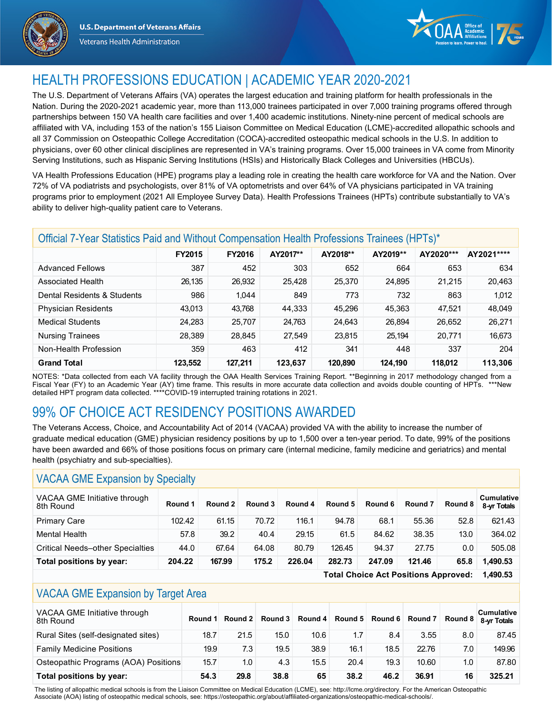





# HEALTH PROFESSIONS EDUCATION | ACADEMIC YEAR 2020-2021

The U.S. Department of Veterans Affairs (VA) operates the largest education and training platform for health professionals in the Nation. During the 2020-2021 academic year, more than 113,000 trainees participated in over 7,000 training programs offered through partnerships between 150 VA health care facilities and over 1,400 academic institutions. Ninety-nine percent of medical schools are affiliated with VA, including 153 of the nation's 155 Liaison Committee on Medical Education (LCME)-accredited allopathic schools and all 37 Commission on Osteopathic College Accreditation (COCA)-accredited osteopathic medical schools in the U.S. In addition to physicians, over 60 other clinical disciplines are represented in VA's training programs. Over 15,000 trainees in VA come from Minority Serving Institutions, such as Hispanic Serving Institutions (HSIs) and Historically Black Colleges and Universities (HBCUs).

VA Health Professions Education (HPE) programs play a leading role in creating the health care workforce for VA and the Nation. Over 72% of VA podiatrists and psychologists, over 81% of VA optometrists and over 64% of VA physicians participated in VA training programs prior to employment (2021 All Employee Survey Data). Health Professions Trainees (HPTs) contribute substantially to VA's ability to deliver high-quality patient care to Veterans.

| Official 7-Year Statistics Paid and Without Compensation Health Professions Trainees (HPTs)* |               |               |          |          |          |           |            |  |  |
|----------------------------------------------------------------------------------------------|---------------|---------------|----------|----------|----------|-----------|------------|--|--|
|                                                                                              | <b>FY2015</b> | <b>FY2016</b> | AY2017** | AY2018** | AY2019** | AY2020*** | AY2021**** |  |  |
| <b>Advanced Fellows</b>                                                                      | 387           | 452           | 303      | 652      | 664      | 653       | 634        |  |  |
| Associated Health                                                                            | 26,135        | 26,932        | 25,428   | 25,370   | 24,895   | 21.215    | 20,463     |  |  |
| Dental Residents & Students                                                                  | 986           | 1,044         | 849      | 773      | 732      | 863       | 1,012      |  |  |
| <b>Physician Residents</b>                                                                   | 43.013        | 43,768        | 44,333   | 45.296   | 45,363   | 47.521    | 48,049     |  |  |
| <b>Medical Students</b>                                                                      | 24,283        | 25,707        | 24,763   | 24,643   | 26,894   | 26,652    | 26,271     |  |  |
| <b>Nursing Trainees</b>                                                                      | 28,389        | 28,845        | 27,549   | 23,815   | 25,194   | 20,771    | 16,673     |  |  |
| Non-Health Profession                                                                        | 359           | 463           | 412      | 341      | 448      | 337       | 204        |  |  |
| <b>Grand Total</b>                                                                           | 123,552       | 127,211       | 123,637  | 120.890  | 124.190  | 118,012   | 113,306    |  |  |

NOTES: \*Data collected from each VA facility through the OAA Health Services Training Report. \*\*Beginning in 2017 methodology changed from a Fiscal Year (FY) to an Academic Year (AY) time frame. This results in more accurate data collection and avoids double counting of HPTs. \*\*\*New detailed HPT program data collected. \*\*\*\*COVID-19 interrupted training rotations in 2021.

# 99% OF CHOICE ACT RESIDENCY POSITIONS AWARDED

The Veterans Access, Choice, and Accountability Act of 2014 (VACAA) provided VA with the ability to increase the number of graduate medical education (GME) physician residency positions by up to 1,500 over a ten-year period. To date, 99% of the positions have been awarded and 66% of those positions focus on primary care (internal medicine, family medicine and geriatrics) and mental health (psychiatry and sub-specialties).

#### VACAA GME Expansion by Specialty

| VACAA GME Initiative through<br>8th Round | Round 1 | Round 2 | Round 3 | Round 4 | Round 5 | Round 6 | Round <sub>7</sub> | Round 8 | <b>Cumulative</b><br>8-yr Totals |
|-------------------------------------------|---------|---------|---------|---------|---------|---------|--------------------|---------|----------------------------------|
| <b>Primary Care</b>                       | 102.42  | 61.15   | 70.72   | 116.1   | 94.78   | 68.1    | 55.36              | 52.8    | 621.43                           |
| Mental Health                             | 57.8    | 39.2    | 40.4    | 29.15   | 61.5    | 84.62   | 38.35              | 13.0    | 364.02                           |
| <b>Critical Needs-other Specialties</b>   | 44.0    | 67.64   | 64.08   | 80.79   | 126.45  | 94.37   | 27.75              | 0.0     | 505.08                           |
| Total positions by year:                  | 204.22  | 167.99  | 175.2   | 226.04  | 282.73  | 247.09  | 121.46             | 65.8    | 1.490.53                         |

**Total Choice Act Positions Approved: 1,490.53**

### VACAA GME Expansion by Target Area

| VACAA GME Initiative through<br>8th Round | Round 1 | Round 2 | Round 3 |      | Round 4 Round 5 Round 6 Round 7 Round 8 |      |       |     | <b>Cumulative</b><br>8-vr Totals |
|-------------------------------------------|---------|---------|---------|------|-----------------------------------------|------|-------|-----|----------------------------------|
| Rural Sites (self-designated sites)       | 18.7    | 21.5    | 15.0    | 10.6 | 1.7                                     | 8.4  | 3.55  | 8.0 | 87.45                            |
| <b>Family Medicine Positions</b>          | 19.9    | 7.3     | 19.5    | 38.9 | 16.1                                    | 18.5 | 22.76 | 7.0 | 149.96                           |
| Osteopathic Programs (AOA) Positions      | 15.7    | 1.0     | 4.3     | 15.5 | 20.4                                    | 19.3 | 10.60 | 1.0 | 87.80                            |
| Total positions by year:                  | 54.3    | 29.8    | 38.8    | 65   | 38.2                                    | 46.2 | 36.91 | 16  | 325.21                           |

The listing of allopathic medical schools is from the Liaison Committee on Medical Education (LCME), see: http://lcme.org/directory. For the American Osteopathic Associate (AOA) listing of osteopathic medical schools, see: https://osteopathic.org/about/affiliated-organizations/osteopathic-medical-schools/.